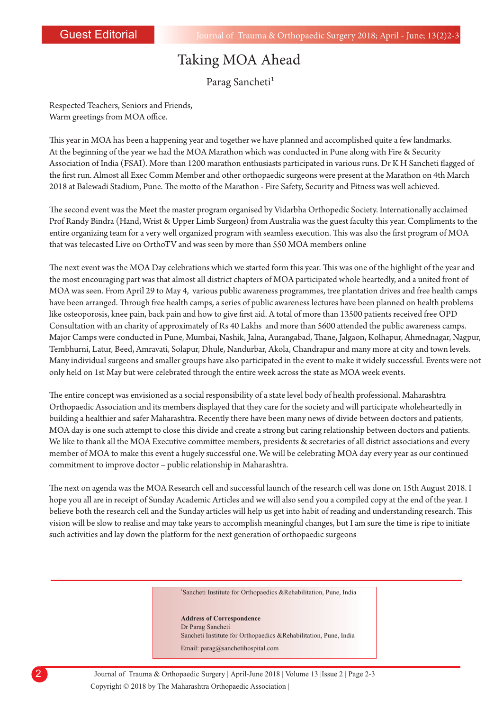2

## Taking MOA Ahead

Parag Sancheti

Respected Teachers, Seniors and Friends, Warm greetings from MOA office.

This year in MOA has been a happening year and together we have planned and accomplished quite a few landmarks. At the beginning of the year we had the MOA Marathon which was conducted in Pune along with Fire & Security Association of India (FSAI). More than 1200 marathon enthusiasts participated in various runs. Dr K H Sancheti flagged of the first run. Almost all Exec Comm Member and other orthopaedic surgeons were present at the Marathon on 4th March 2018 at Balewadi Stadium, Pune. The motto of the Marathon - Fire Safety, Security and Fitness was well achieved.

The second event was the Meet the master program organised by Vidarbha Orthopedic Society. Internationally acclaimed Prof Randy Bindra (Hand, Wrist & Upper Limb Surgeon) from Australia was the guest faculty this year. Compliments to the entire organizing team for a very well organized program with seamless execution. This was also the first program of MOA that was telecasted Live on OrthoTV and was seen by more than 550 MOA members online

The next event was the MOA Day celebrations which we started form this year. This was one of the highlight of the year and the most encouraging part was that almost all district chapters of MOA participated whole heartedly, and a united front of MOA was seen. From April 29 to May 4, various public awareness programmes, tree plantation drives and free health camps have been arranged. Through free health camps, a series of public awareness lectures have been planned on health problems like osteoporosis, knee pain, back pain and how to give first aid. A total of more than 13500 patients received free OPD Consultation with an charity of approximately of Rs 40 Lakhs and more than 5600 attended the public awareness camps. Major Camps were conducted in Pune, Mumbai, Nashik, Jalna, Aurangabad, Thane, Jalgaon, Kolhapur, Ahmednagar, Nagpur, Tembhurni, Latur, Beed, Amravati, Solapur, Dhule, Nandurbar, Akola, Chandrapur and many more at city and town levels. Many individual surgeons and smaller groups have also participated in the event to make it widely successful. Events were not only held on 1st May but were celebrated through the entire week across the state as MOA week events.

e entire concept was envisioned as a social responsibility of a state level body of health professional. Maharashtra Orthopaedic Association and its members displayed that they care for the society and will participate wholeheartedly in building a healthier and safer Maharashtra. Recently there have been many news of divide between doctors and patients, MOA day is one such attempt to close this divide and create a strong but caring relationship between doctors and patients. We like to thank all the MOA Executive committee members, presidents & secretaries of all district associations and every member of MOA to make this event a hugely successful one. We will be celebrating MOA day every year as our continued commitment to improve doctor – public relationship in Maharashtra.

The next on agenda was the MOA Research cell and successful launch of the research cell was done on 15th August 2018. I hope you all are in receipt of Sunday Academic Articles and we will also send you a compiled copy at the end of the year. I believe both the research cell and the Sunday articles will help us get into habit of reading and understanding research. This vision will be slow to realise and may take years to accomplish meaningful changes, but I am sure the time is ripe to initiate such activities and lay down the platform for the next generation of orthopaedic surgeons

1 Sancheti Institute for Orthopaedics &Rehabilitation, Pune, India

## **Address of Correspondence**

Dr Parag Sancheti Sancheti Institute for Orthopaedics &Rehabilitation, Pune, India Email: parag@sanchetihospital.com